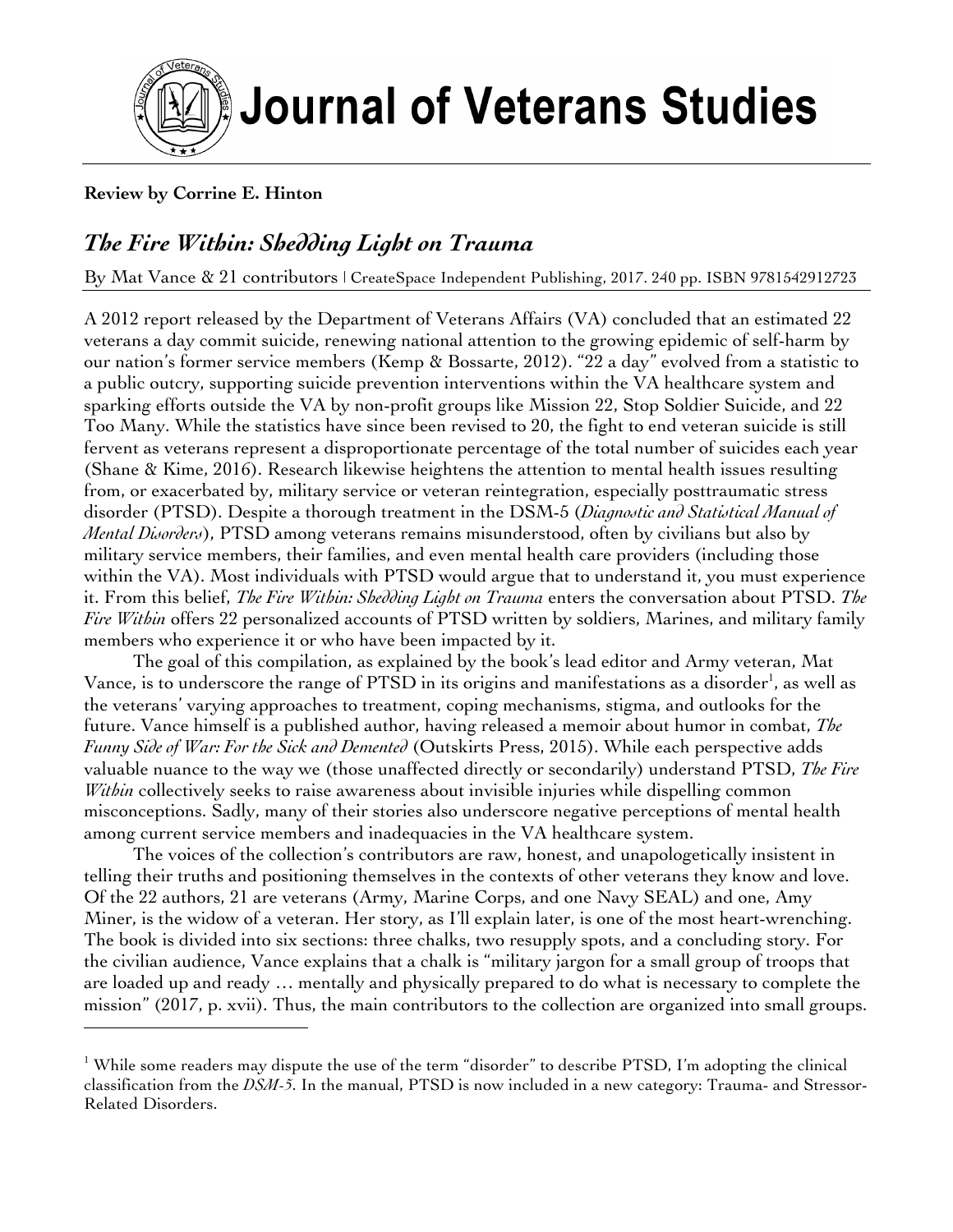

## **Journal of Veterans Studies**

## **Review by Corrine E. Hinton**

<u> 1989 - Johann Barn, mars ann an t-Amhain an t-Amhain an t-Amhain an t-Amhain an t-Amhain an t-Amhain an t-Amh</u>

## *The Fire Within: Shedding Light on Trauma*

By Mat Vance & 21 contributors | CreateSpace Independent Publishing, 2017. 240 pp. ISBN 9781542912723

A 2012 report released by the Department of Veterans Affairs (VA) concluded that an estimated 22 veterans a day commit suicide, renewing national attention to the growing epidemic of self-harm by our nation's former service members (Kemp & Bossarte, 2012). "22 a day" evolved from a statistic to a public outcry, supporting suicide prevention interventions within the VA healthcare system and sparking efforts outside the VA by non-profit groups like Mission 22, Stop Soldier Suicide, and 22 Too Many. While the statistics have since been revised to 20, the fight to end veteran suicide is still fervent as veterans represent a disproportionate percentage of the total number of suicides each year (Shane & Kime, 2016). Research likewise heightens the attention to mental health issues resulting from, or exacerbated by, military service or veteran reintegration, especially posttraumatic stress disorder (PTSD). Despite a thorough treatment in the DSM-5 (*Diagnostic and Statistical Manual of Mental Disorders*), PTSD among veterans remains misunderstood, often by civilians but also by military service members, their families, and even mental health care providers (including those within the VA). Most individuals with PTSD would argue that to understand it, you must experience it. From this belief, *The Fire Within: Shedding Light on Trauma* enters the conversation about PTSD. *The Fire Within* offers 22 personalized accounts of PTSD written by soldiers, Marines, and military family members who experience it or who have been impacted by it.

The goal of this compilation, as explained by the book's lead editor and Army veteran, Mat Vance, is to underscore the range of PTSD in its origins and manifestations as a disorder<sup>1</sup>, as well as the veterans' varying approaches to treatment, coping mechanisms, stigma, and outlooks for the future. Vance himself is a published author, having released a memoir about humor in combat, *The Funny Side of War: For the Sick and Demented* (Outskirts Press, 2015). While each perspective adds valuable nuance to the way we (those unaffected directly or secondarily) understand PTSD, *The Fire Within* collectively seeks to raise awareness about invisible injuries while dispelling common misconceptions. Sadly, many of their stories also underscore negative perceptions of mental health among current service members and inadequacies in the VA healthcare system.

The voices of the collection's contributors are raw, honest, and unapologetically insistent in telling their truths and positioning themselves in the contexts of other veterans they know and love. Of the 22 authors, 21 are veterans (Army, Marine Corps, and one Navy SEAL) and one, Amy Miner, is the widow of a veteran. Her story, as I'll explain later, is one of the most heart-wrenching. The book is divided into six sections: three chalks, two resupply spots, and a concluding story. For the civilian audience, Vance explains that a chalk is "military jargon for a small group of troops that are loaded up and ready … mentally and physically prepared to do what is necessary to complete the mission" (2017, p. xvii). Thus, the main contributors to the collection are organized into small groups.

<sup>&</sup>lt;sup>1</sup> While some readers may dispute the use of the term "disorder" to describe PTSD, I'm adopting the clinical classification from the *DSM-5*. In the manual, PTSD is now included in a new category: Trauma- and Stressor-Related Disorders.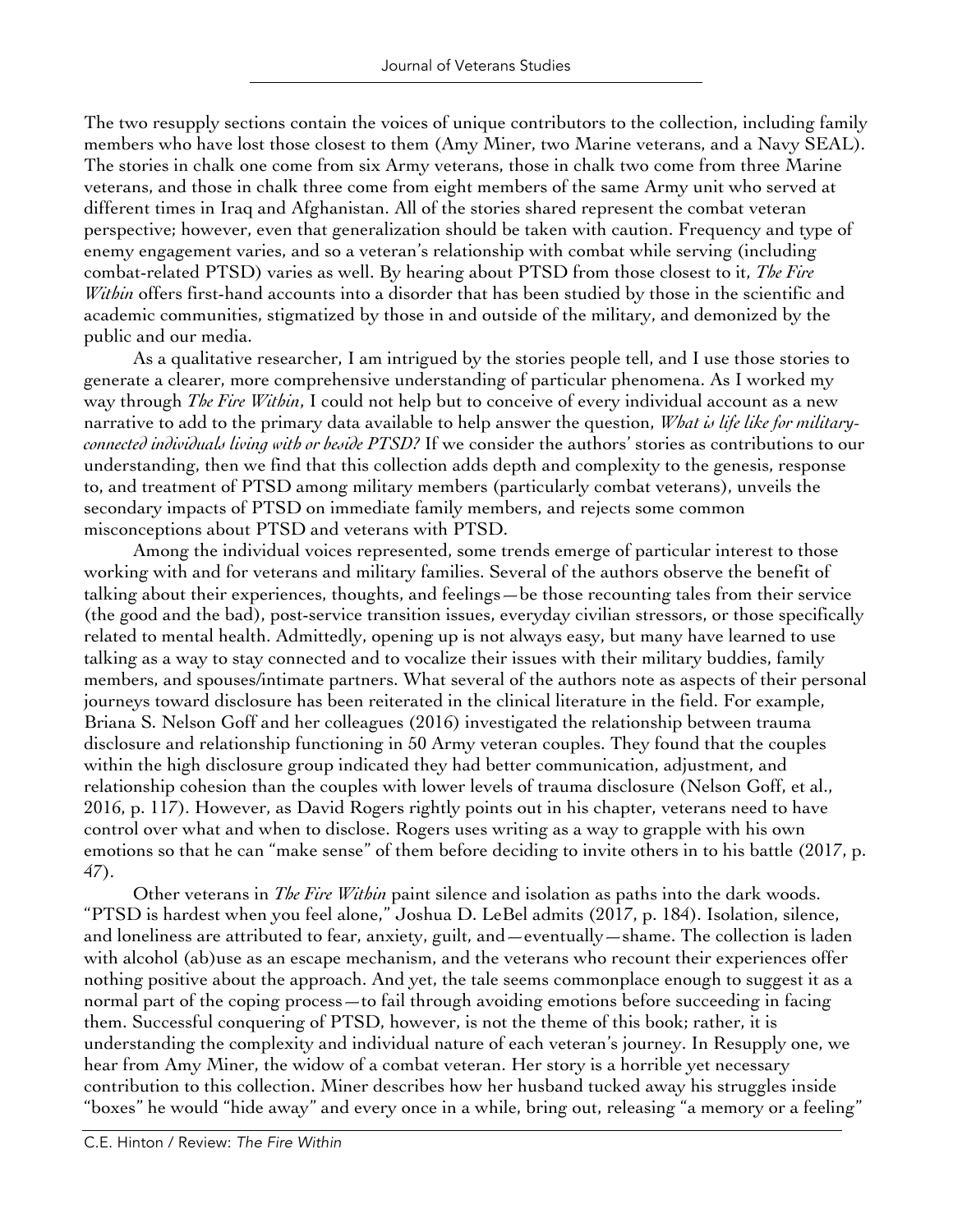The two resupply sections contain the voices of unique contributors to the collection, including family members who have lost those closest to them (Amy Miner, two Marine veterans, and a Navy SEAL). The stories in chalk one come from six Army veterans, those in chalk two come from three Marine veterans, and those in chalk three come from eight members of the same Army unit who served at different times in Iraq and Afghanistan. All of the stories shared represent the combat veteran perspective; however, even that generalization should be taken with caution. Frequency and type of enemy engagement varies, and so a veteran's relationship with combat while serving (including combat-related PTSD) varies as well. By hearing about PTSD from those closest to it, *The Fire Within* offers first-hand accounts into a disorder that has been studied by those in the scientific and academic communities, stigmatized by those in and outside of the military, and demonized by the public and our media.

As a qualitative researcher, I am intrigued by the stories people tell, and I use those stories to generate a clearer, more comprehensive understanding of particular phenomena. As I worked my way through *The Fire Within*, I could not help but to conceive of every individual account as a new narrative to add to the primary data available to help answer the question, *What is life like for militaryconnected individuals living with or beside PTSD?* If we consider the authors' stories as contributions to our understanding, then we find that this collection adds depth and complexity to the genesis, response to, and treatment of PTSD among military members (particularly combat veterans), unveils the secondary impacts of PTSD on immediate family members, and rejects some common misconceptions about PTSD and veterans with PTSD.

Among the individual voices represented, some trends emerge of particular interest to those working with and for veterans and military families. Several of the authors observe the benefit of talking about their experiences, thoughts, and feelings—be those recounting tales from their service (the good and the bad), post-service transition issues, everyday civilian stressors, or those specifically related to mental health. Admittedly, opening up is not always easy, but many have learned to use talking as a way to stay connected and to vocalize their issues with their military buddies, family members, and spouses/intimate partners. What several of the authors note as aspects of their personal journeys toward disclosure has been reiterated in the clinical literature in the field. For example, Briana S. Nelson Goff and her colleagues (2016) investigated the relationship between trauma disclosure and relationship functioning in 50 Army veteran couples. They found that the couples within the high disclosure group indicated they had better communication, adjustment, and relationship cohesion than the couples with lower levels of trauma disclosure (Nelson Goff, et al., 2016, p. 117). However, as David Rogers rightly points out in his chapter, veterans need to have control over what and when to disclose. Rogers uses writing as a way to grapple with his own emotions so that he can "make sense" of them before deciding to invite others in to his battle (2017, p. 47).

Other veterans in *The Fire Within* paint silence and isolation as paths into the dark woods. "PTSD is hardest when you feel alone," Joshua D. LeBel admits (2017, p. 184). Isolation, silence, and loneliness are attributed to fear, anxiety, guilt, and—eventually—shame. The collection is laden with alcohol (ab)use as an escape mechanism, and the veterans who recount their experiences offer nothing positive about the approach. And yet, the tale seems commonplace enough to suggest it as a normal part of the coping process—to fail through avoiding emotions before succeeding in facing them. Successful conquering of PTSD, however, is not the theme of this book; rather, it is understanding the complexity and individual nature of each veteran's journey. In Resupply one, we hear from Amy Miner, the widow of a combat veteran. Her story is a horrible yet necessary contribution to this collection. Miner describes how her husband tucked away his struggles inside "boxes" he would "hide away" and every once in a while, bring out, releasing "a memory or a feeling"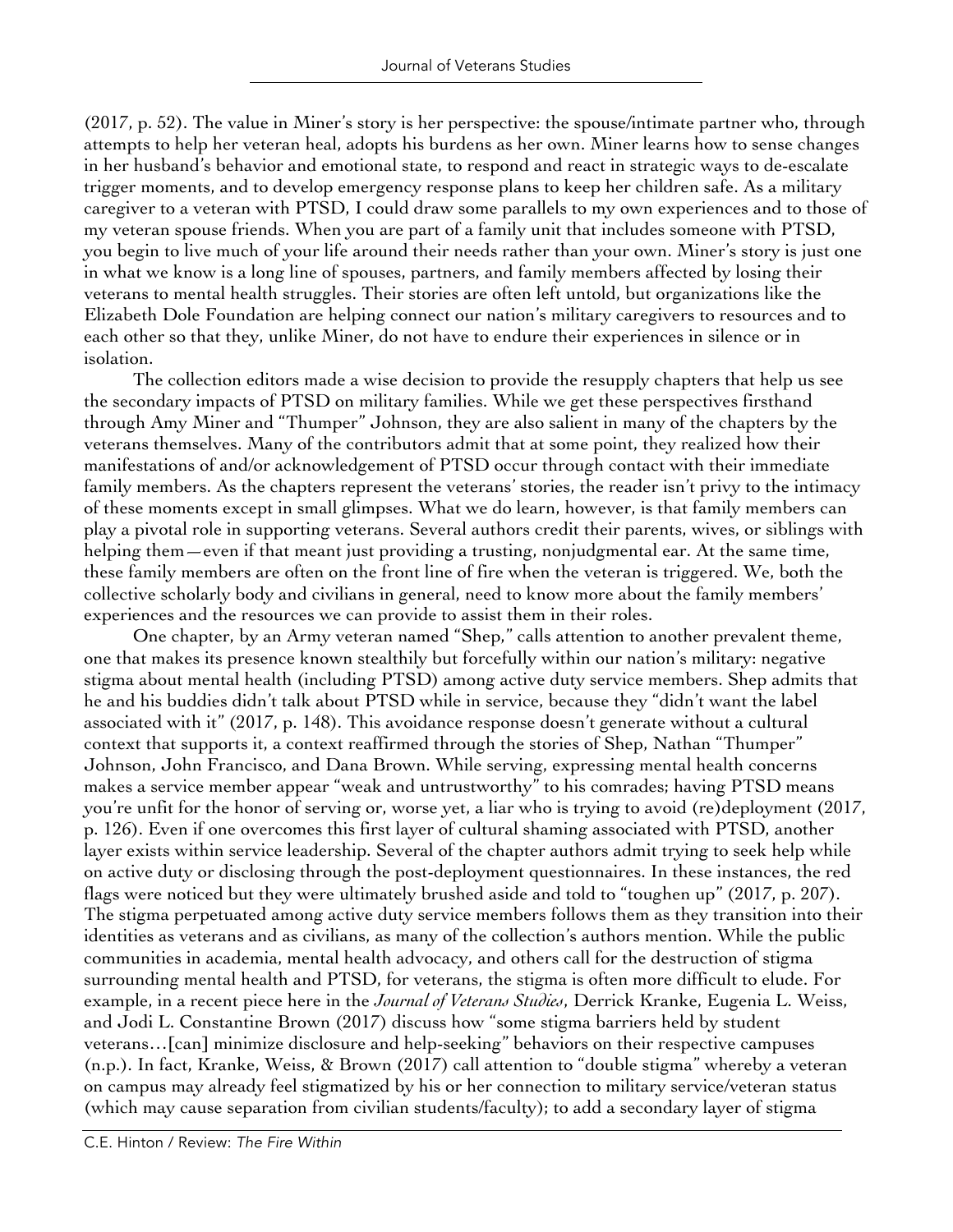(2017, p. 52). The value in Miner's story is her perspective: the spouse/intimate partner who, through attempts to help her veteran heal, adopts his burdens as her own. Miner learns how to sense changes in her husband's behavior and emotional state, to respond and react in strategic ways to de-escalate trigger moments, and to develop emergency response plans to keep her children safe. As a military caregiver to a veteran with PTSD, I could draw some parallels to my own experiences and to those of my veteran spouse friends. When you are part of a family unit that includes someone with PTSD, you begin to live much of your life around their needs rather than your own. Miner's story is just one in what we know is a long line of spouses, partners, and family members affected by losing their veterans to mental health struggles. Their stories are often left untold, but organizations like the Elizabeth Dole Foundation are helping connect our nation's military caregivers to resources and to each other so that they, unlike Miner, do not have to endure their experiences in silence or in isolation.

The collection editors made a wise decision to provide the resupply chapters that help us see the secondary impacts of PTSD on military families. While we get these perspectives firsthand through Amy Miner and "Thumper" Johnson, they are also salient in many of the chapters by the veterans themselves. Many of the contributors admit that at some point, they realized how their manifestations of and/or acknowledgement of PTSD occur through contact with their immediate family members. As the chapters represent the veterans' stories, the reader isn't privy to the intimacy of these moments except in small glimpses. What we do learn, however, is that family members can play a pivotal role in supporting veterans. Several authors credit their parents, wives, or siblings with helping them—even if that meant just providing a trusting, nonjudgmental ear. At the same time, these family members are often on the front line of fire when the veteran is triggered. We, both the collective scholarly body and civilians in general, need to know more about the family members' experiences and the resources we can provide to assist them in their roles.

One chapter, by an Army veteran named "Shep," calls attention to another prevalent theme, one that makes its presence known stealthily but forcefully within our nation's military: negative stigma about mental health (including PTSD) among active duty service members. Shep admits that he and his buddies didn't talk about PTSD while in service, because they "didn't want the label associated with it" (2017, p. 148). This avoidance response doesn't generate without a cultural context that supports it, a context reaffirmed through the stories of Shep, Nathan "Thumper" Johnson, John Francisco, and Dana Brown. While serving, expressing mental health concerns makes a service member appear "weak and untrustworthy" to his comrades; having PTSD means you're unfit for the honor of serving or, worse yet, a liar who is trying to avoid (re)deployment (2017, p. 126). Even if one overcomes this first layer of cultural shaming associated with PTSD, another layer exists within service leadership. Several of the chapter authors admit trying to seek help while on active duty or disclosing through the post-deployment questionnaires. In these instances, the red flags were noticed but they were ultimately brushed aside and told to "toughen up" (2017, p. 207). The stigma perpetuated among active duty service members follows them as they transition into their identities as veterans and as civilians, as many of the collection's authors mention. While the public communities in academia, mental health advocacy, and others call for the destruction of stigma surrounding mental health and PTSD, for veterans, the stigma is often more difficult to elude. For example, in a recent piece here in the *Journal of Veterans Studies*, Derrick Kranke, Eugenia L. Weiss, and Jodi L. Constantine Brown (2017) discuss how "some stigma barriers held by student veterans…[can] minimize disclosure and help-seeking" behaviors on their respective campuses (n.p.). In fact, Kranke, Weiss, & Brown (2017) call attention to "double stigma" whereby a veteran on campus may already feel stigmatized by his or her connection to military service/veteran status (which may cause separation from civilian students/faculty); to add a secondary layer of stigma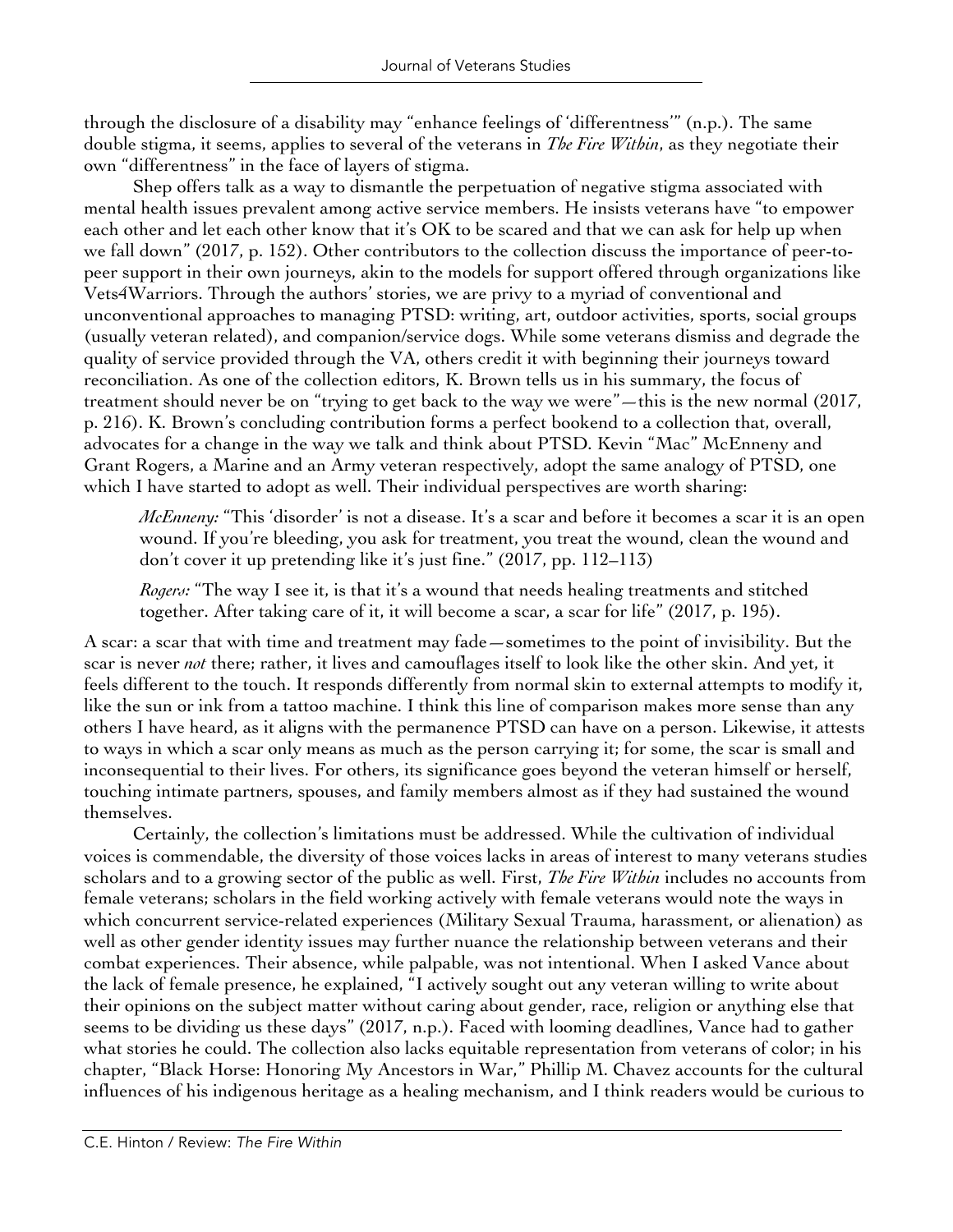through the disclosure of a disability may "enhance feelings of 'differentness'" (n.p.). The same double stigma, it seems, applies to several of the veterans in *The Fire Within*, as they negotiate their own "differentness" in the face of layers of stigma.

Shep offers talk as a way to dismantle the perpetuation of negative stigma associated with mental health issues prevalent among active service members. He insists veterans have "to empower each other and let each other know that it's OK to be scared and that we can ask for help up when we fall down" (2017, p. 152). Other contributors to the collection discuss the importance of peer-topeer support in their own journeys, akin to the models for support offered through organizations like Vets4Warriors. Through the authors' stories, we are privy to a myriad of conventional and unconventional approaches to managing PTSD: writing, art, outdoor activities, sports, social groups (usually veteran related), and companion/service dogs. While some veterans dismiss and degrade the quality of service provided through the VA, others credit it with beginning their journeys toward reconciliation. As one of the collection editors, K. Brown tells us in his summary, the focus of treatment should never be on "trying to get back to the way we were"—this is the new normal (2017, p. 216). K. Brown's concluding contribution forms a perfect bookend to a collection that, overall, advocates for a change in the way we talk and think about PTSD. Kevin "Mac" McEnneny and Grant Rogers, a Marine and an Army veteran respectively, adopt the same analogy of PTSD, one which I have started to adopt as well. Their individual perspectives are worth sharing:

*McEnneny:* "This 'disorder' is not a disease. It's a scar and before it becomes a scar it is an open wound. If you're bleeding, you ask for treatment, you treat the wound, clean the wound and don't cover it up pretending like it's just fine." (2017, pp. 112–113)

*Rogers:* "The way I see it, is that it's a wound that needs healing treatments and stitched together. After taking care of it, it will become a scar, a scar for life" (2017, p. 195).

A scar: a scar that with time and treatment may fade—sometimes to the point of invisibility. But the scar is never *not* there; rather, it lives and camouflages itself to look like the other skin. And yet, it feels different to the touch. It responds differently from normal skin to external attempts to modify it, like the sun or ink from a tattoo machine. I think this line of comparison makes more sense than any others I have heard, as it aligns with the permanence PTSD can have on a person. Likewise, it attests to ways in which a scar only means as much as the person carrying it; for some, the scar is small and inconsequential to their lives. For others, its significance goes beyond the veteran himself or herself, touching intimate partners, spouses, and family members almost as if they had sustained the wound themselves.

Certainly, the collection's limitations must be addressed. While the cultivation of individual voices is commendable, the diversity of those voices lacks in areas of interest to many veterans studies scholars and to a growing sector of the public as well. First, *The Fire Within* includes no accounts from female veterans; scholars in the field working actively with female veterans would note the ways in which concurrent service-related experiences (Military Sexual Trauma, harassment, or alienation) as well as other gender identity issues may further nuance the relationship between veterans and their combat experiences. Their absence, while palpable, was not intentional. When I asked Vance about the lack of female presence, he explained, "I actively sought out any veteran willing to write about their opinions on the subject matter without caring about gender, race, religion or anything else that seems to be dividing us these days" (2017, n.p.). Faced with looming deadlines, Vance had to gather what stories he could. The collection also lacks equitable representation from veterans of color; in his chapter, "Black Horse: Honoring My Ancestors in War," Phillip M. Chavez accounts for the cultural influences of his indigenous heritage as a healing mechanism, and I think readers would be curious to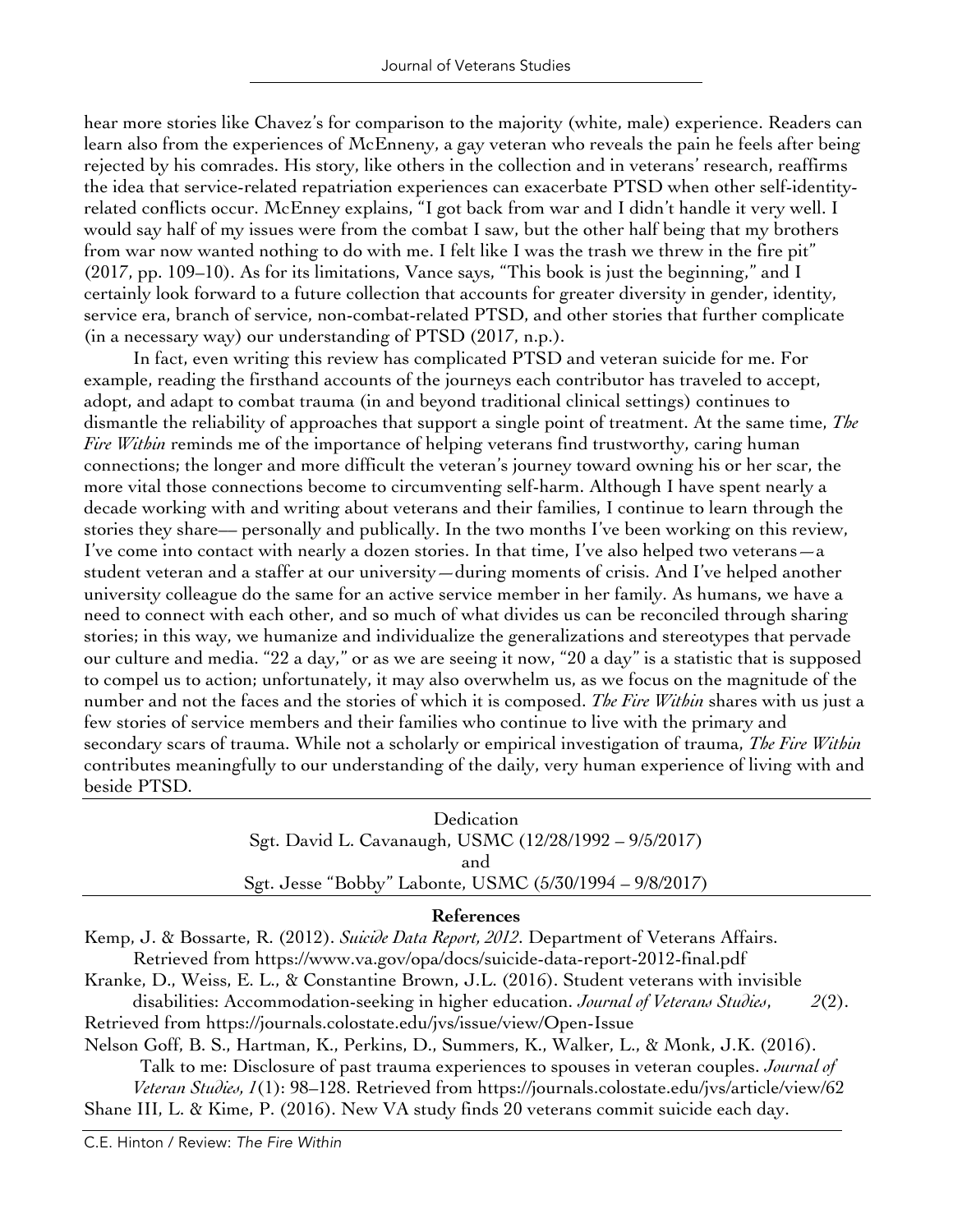hear more stories like Chavez's for comparison to the majority (white, male) experience. Readers can learn also from the experiences of McEnneny, a gay veteran who reveals the pain he feels after being rejected by his comrades. His story, like others in the collection and in veterans' research, reaffirms the idea that service-related repatriation experiences can exacerbate PTSD when other self-identityrelated conflicts occur. McEnney explains, "I got back from war and I didn't handle it very well. I would say half of my issues were from the combat I saw, but the other half being that my brothers from war now wanted nothing to do with me. I felt like I was the trash we threw in the fire pit" (2017, pp. 109–10). As for its limitations, Vance says, "This book is just the beginning," and I certainly look forward to a future collection that accounts for greater diversity in gender, identity, service era, branch of service, non-combat-related PTSD, and other stories that further complicate (in a necessary way) our understanding of PTSD (2017, n.p.).

In fact, even writing this review has complicated PTSD and veteran suicide for me. For example, reading the firsthand accounts of the journeys each contributor has traveled to accept, adopt, and adapt to combat trauma (in and beyond traditional clinical settings) continues to dismantle the reliability of approaches that support a single point of treatment. At the same time, *The Fire Within* reminds me of the importance of helping veterans find trustworthy, caring human connections; the longer and more difficult the veteran's journey toward owning his or her scar, the more vital those connections become to circumventing self-harm. Although I have spent nearly a decade working with and writing about veterans and their families, I continue to learn through the stories they share–– personally and publically. In the two months I've been working on this review, I've come into contact with nearly a dozen stories. In that time, I've also helped two veterans  $-a$ student veteran and a staffer at our university—during moments of crisis. And I've helped another university colleague do the same for an active service member in her family. As humans, we have a need to connect with each other, and so much of what divides us can be reconciled through sharing stories; in this way, we humanize and individualize the generalizations and stereotypes that pervade our culture and media. "22 a day," or as we are seeing it now, "20 a day" is a statistic that is supposed to compel us to action; unfortunately, it may also overwhelm us, as we focus on the magnitude of the number and not the faces and the stories of which it is composed. *The Fire Within* shares with us just a few stories of service members and their families who continue to live with the primary and secondary scars of trauma. While not a scholarly or empirical investigation of trauma, *The Fire Within* contributes meaningfully to our understanding of the daily, very human experience of living with and beside PTSD.

> Dedication Sgt. David L. Cavanaugh, USMC (12/28/1992 – 9/5/2017) and Sgt. Jesse "Bobby" Labonte, USMC (5/30/1994 – 9/8/2017)

## **References**

Kemp, J. & Bossarte, R. (2012). *Suicide Data Report, 2012*. Department of Veterans Affairs. Retrieved from https://www.va.gov/opa/docs/suicide-data-report-2012-final.pdf

Kranke, D., Weiss, E. L., & Constantine Brown, J.L. (2016). Student veterans with invisible

disabilities: Accommodation-seeking in higher education. *Journal of Veterans Studies*, *2*(2). Retrieved from https://journals.colostate.edu/jvs/issue/view/Open-Issue

Nelson Goff, B. S., Hartman, K., Perkins, D., Summers, K., Walker, L., & Monk, J.K. (2016).

Talk to me: Disclosure of past trauma experiences to spouses in veteran couples. *Journal of Veteran Studies, 1*(1): 98–128. Retrieved from https://journals.colostate.edu/jvs/article/view/62 Shane III, L. & Kime, P. (2016). New VA study finds 20 veterans commit suicide each day.